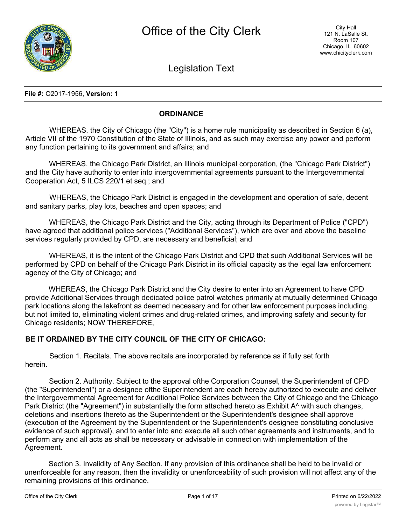

Legislation Text

#### **File #:** O2017-1956, **Version:** 1

# **ORDINANCE**

WHEREAS, the City of Chicago (the "City") is a home rule municipality as described in Section 6 (a), Article VII of the 1970 Constitution of the State of Illinois, and as such may exercise any power and perform any function pertaining to its government and affairs; and

WHEREAS, the Chicago Park District, an Illinois municipal corporation, (the "Chicago Park District") and the City have authority to enter into intergovernmental agreements pursuant to the Intergovernmental Cooperation Act, 5 ILCS 220/1 et seq.; and

WHEREAS, the Chicago Park District is engaged in the development and operation of safe, decent and sanitary parks, play lots, beaches and open spaces; and

WHEREAS, the Chicago Park District and the City, acting through its Department of Police ("CPD") have agreed that additional police services ("Additional Services"), which are over and above the baseline services regularly provided by CPD, are necessary and beneficial; and

WHEREAS, it is the intent of the Chicago Park District and CPD that such Additional Services will be performed by CPD on behalf of the Chicago Park District in its official capacity as the legal law enforcement agency of the City of Chicago; and

WHEREAS, the Chicago Park District and the City desire to enter into an Agreement to have CPD provide Additional Services through dedicated police patrol watches primarily at mutually determined Chicago park locations along the lakefront as deemed necessary and for other law enforcement purposes including, but not limited to, eliminating violent crimes and drug-related crimes, and improving safety and security for Chicago residents; NOW THEREFORE,

# **BE IT ORDAINED BY THE CITY COUNCIL OF THE CITY OF CHICAGO:**

Section 1. Recitals. The above recitals are incorporated by reference as if fully set forth herein.

Section 2. Authority. Subject to the approval ofthe Corporation Counsel, the Superintendent of CPD (the "Superintendent") or a designee ofthe Superintendent are each hereby authorized to execute and deliver the Intergovernmental Agreement for Additional Police Services between the City of Chicago and the Chicago Park District (the "Agreement") in substantially the form attached hereto as Exhibit A^ with such changes, deletions and insertions thereto as the Superintendent or the Superintendent's designee shall approve (execution of the Agreement by the Superintendent or the Superintendent's designee constituting conclusive evidence of such approval), and to enter into and execute all such other agreements and instruments, and to perform any and all acts as shall be necessary or advisable in connection with implementation of the Agreement.

Section 3. Invalidity of Any Section. If any provision of this ordinance shall be held to be invalid or unenforceable for any reason, then the invalidity or unenforceability of such provision will not affect any of the remaining provisions of this ordinance.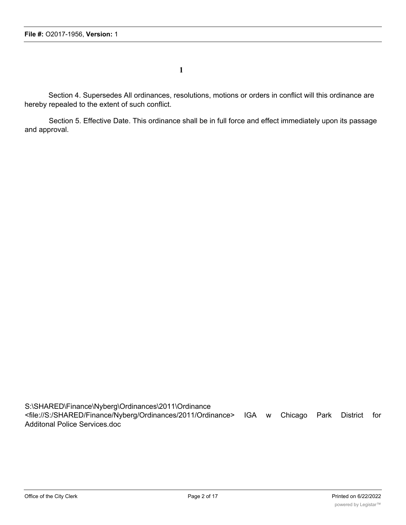**1**

Section 4. Supersedes All ordinances, resolutions, motions or orders in conflict will this ordinance are hereby repealed to the extent of such conflict.

Section 5. Effective Date. This ordinance shall be in full force and effect immediately upon its passage and approval.

S:\SHARED\Finance\Nyberg\Ordinances\2011\Ordinance <file://S:/SHARED/Finance/Nyberg/Ordinances/2011/Ordinance> IGA w Chicago Park District for Additonal Police Services.doc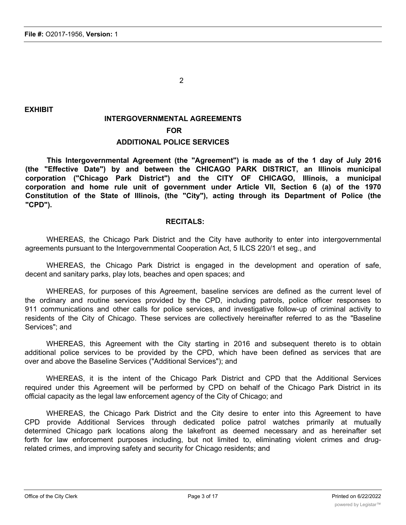2

**EXHIBIT**

# **INTERGOVERNMENTAL AGREEMENTS FOR**

# **ADDITIONAL POLICE SERVICES**

**This Intergovernmental Agreement (the "Agreement") is made as of the 1 day of July 2016 (the "Effective Date") by and between the CHICAGO PARK DISTRICT, an Illinois municipal corporation ("Chicago Park District") and the CITY OF CHICAGO, Illinois, a municipal corporation and home rule unit of government under Article VII, Section 6 (a) of the 1970 Constitution of the State of Illinois, (the "City"), acting through its Department of Police (the "CPD").**

#### **RECITALS:**

WHEREAS, the Chicago Park District and the City have authority to enter into intergovernmental agreements pursuant to the Intergovernmental Cooperation Act, 5 ILCS 220/1 et seg., and

WHEREAS, the Chicago Park District is engaged in the development and operation of safe, decent and sanitary parks, play lots, beaches and open spaces; and

WHEREAS, for purposes of this Agreement, baseline services are defined as the current level of the ordinary and routine services provided by the CPD, including patrols, police officer responses to 911 communications and other calls for police services, and investigative follow-up of criminal activity to residents of the City of Chicago. These services are collectively hereinafter referred to as the "Baseline Services"; and

WHEREAS, this Agreement with the City starting in 2016 and subsequent thereto is to obtain additional police services to be provided by the CPD, which have been defined as services that are over and above the Baseline Services ("Additional Services"); and

WHEREAS, it is the intent of the Chicago Park District and CPD that the Additional Services required under this Agreement will be performed by CPD on behalf of the Chicago Park District in its official capacity as the legal law enforcement agency of the City of Chicago; and

WHEREAS, the Chicago Park District and the City desire to enter into this Agreement to have CPD provide Additional Services through dedicated police patrol watches primarily at mutually determined Chicago park locations along the lakefront as deemed necessary and as hereinafter set forth for law enforcement purposes including, but not limited to, eliminating violent crimes and drugrelated crimes, and improving safety and security for Chicago residents; and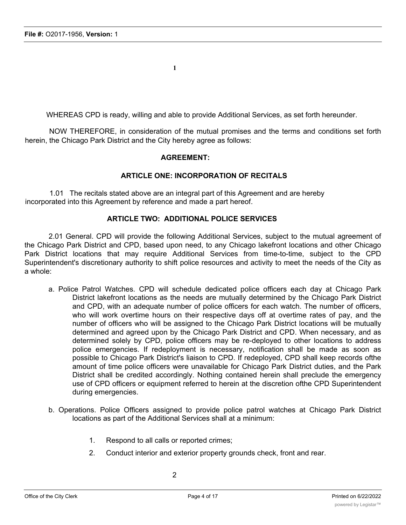WHEREAS CPD is ready, willing and able to provide Additional Services, as set forth hereunder.

NOW THEREFORE, in consideration of the mutual promises and the terms and conditions set forth herein, the Chicago Park District and the City hereby agree as follows:

#### **AGREEMENT:**

# **ARTICLE ONE: INCORPORATION OF RECITALS**

1.01 The recitals stated above are an integral part of this Agreement and are hereby incorporated into this Agreement by reference and made a part hereof.

**1**

# **ARTICLE TWO: ADDITIONAL POLICE SERVICES**

2.01 General. CPD will provide the following Additional Services, subject to the mutual agreement of the Chicago Park District and CPD, based upon need, to any Chicago lakefront locations and other Chicago Park District locations that may require Additional Services from time-to-time, subject to the CPD Superintendent's discretionary authority to shift police resources and activity to meet the needs of the City as a whole:

- a. Police Patrol Watches. CPD will schedule dedicated police officers each day at Chicago Park District lakefront locations as the needs are mutually determined by the Chicago Park District and CPD, with an adequate number of police officers for each watch. The number of officers, who will work overtime hours on their respective days off at overtime rates of pay, and the number of officers who will be assigned to the Chicago Park District locations will be mutually determined and agreed upon by the Chicago Park District and CPD. When necessary, and as determined solely by CPD, police officers may be re-deployed to other locations to address police emergencies. If redeployment is necessary, notification shall be made as soon as possible to Chicago Park District's liaison to CPD. If redeployed, CPD shall keep records ofthe amount of time police officers were unavailable for Chicago Park District duties, and the Park District shall be credited accordingly. Nothing contained herein shall preclude the emergency use of CPD officers or equipment referred to herein at the discretion ofthe CPD Superintendent during emergencies.
- b. Operations. Police Officers assigned to provide police patrol watches at Chicago Park District locations as part of the Additional Services shall at a minimum:
	- 1. Respond to all calls or reported crimes;
	- 2. Conduct interior and exterior property grounds check, front and rear.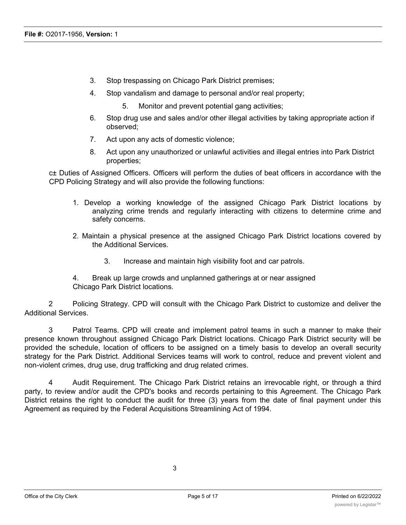- 3. Stop trespassing on Chicago Park District premises;
- 4. Stop vandalism and damage to personal and/or real property;
	- 5. Monitor and prevent potential gang activities;
- 6. Stop drug use and sales and/or other illegal activities by taking appropriate action if observed;
- 7. Act upon any acts of domestic violence;
- 8. Act upon any unauthorized or unlawful activities and illegal entries into Park District properties;

c± Duties of Assigned Officers. Officers will perform the duties of beat officers in accordance with the CPD Policing Strategy and will also provide the following functions:

- 1. Develop a working knowledge of the assigned Chicago Park District locations by analyzing crime trends and regularly interacting with citizens to determine crime and safety concerns.
- 2. Maintain a physical presence at the assigned Chicago Park District locations covered by the Additional Services.
	- 3. Increase and maintain high visibility foot and car patrols.

4. Break up large crowds and unplanned gatherings at or near assigned Chicago Park District locations.

2 Policing Strategy. CPD will consult with the Chicago Park District to customize and deliver the Additional Services.

3 Patrol Teams. CPD will create and implement patrol teams in such a manner to make their presence known throughout assigned Chicago Park District locations. Chicago Park District security will be provided the schedule, location of officers to be assigned on a timely basis to develop an overall security strategy for the Park District. Additional Services teams will work to control, reduce and prevent violent and non-violent crimes, drug use, drug trafficking and drug related crimes.

4 Audit Requirement. The Chicago Park District retains an irrevocable right, or through a third party, to review and/or audit the CPD's books and records pertaining to this Agreement. The Chicago Park District retains the right to conduct the audit for three (3) years from the date of final payment under this Agreement as required by the Federal Acquisitions Streamlining Act of 1994.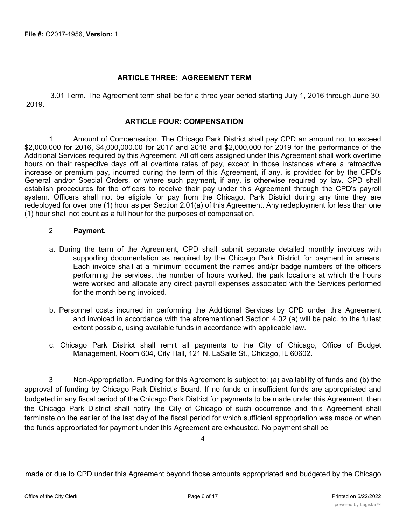# **ARTICLE THREE: AGREEMENT TERM**

3.01 Term. The Agreement term shall be for a three year period starting July 1, 2016 through June 30, 2019.

# **ARTICLE FOUR: COMPENSATION**

1 Amount of Compensation. The Chicago Park District shall pay CPD an amount not to exceed \$2,000,000 for 2016, \$4,000,000.00 for 2017 and 2018 and \$2,000,000 for 2019 for the performance of the Additional Services required by this Agreement. All officers assigned under this Agreement shall work overtime hours on their respective days off at overtime rates of pay, except in those instances where a retroactive increase or premium pay, incurred during the term of this Agreement, if any, is provided for by the CPD's General and/or Special Orders, or where such payment, if any, is otherwise required by law. CPD shall establish procedures for the officers to receive their pay under this Agreement through the CPD's payroll system. Officers shall not be eligible for pay from the Chicago. Park District during any time they are redeployed for over one (1) hour as per Section 2.01(a) of this Agreement. Any redeployment for less than one (1) hour shall not count as a full hour for the purposes of compensation.

## 2 **Payment.**

- a. During the term of the Agreement, CPD shall submit separate detailed monthly invoices with supporting documentation as required by the Chicago Park District for payment in arrears. Each invoice shall at a minimum document the names and/pr badge numbers of the officers performing the services, the number of hours worked, the park locations at which the hours were worked and allocate any direct payroll expenses associated with the Services performed for the month being invoiced.
- b. Personnel costs incurred in performing the Additional Services by CPD under this Agreement and invoiced in accordance with the aforementioned Section 4.02 (a) will be paid, to the fullest extent possible, using available funds in accordance with applicable law.
- c. Chicago Park District shall remit all payments to the City of Chicago, Office of Budget Management, Room 604, City Hall, 121 N. LaSalle St., Chicago, IL 60602.

3 Non-Appropriation. Funding for this Agreement is subject to: (a) availability of funds and (b) the approval of funding by Chicago Park District's Board. If no funds or insufficient funds are appropriated and budgeted in any fiscal period of the Chicago Park District for payments to be made under this Agreement, then the Chicago Park District shall notify the City of Chicago of such occurrence and this Agreement shall terminate on the earlier of the last day of the fiscal period for which sufficient appropriation was made or when the funds appropriated for payment under this Agreement are exhausted. No payment shall be

4

made or due to CPD under this Agreement beyond those amounts appropriated and budgeted by the Chicago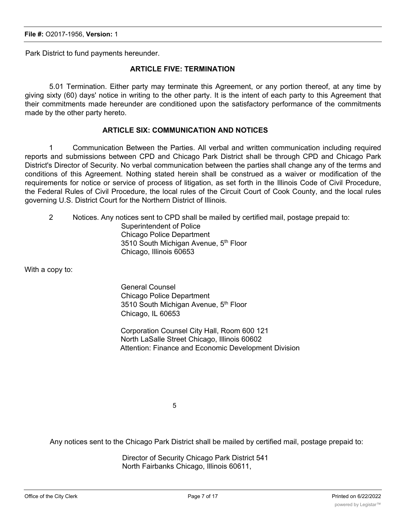Park District to fund payments hereunder.

#### **ARTICLE FIVE: TERMINATION**

5.01 Termination. Either party may terminate this Agreement, or any portion thereof, at any time by giving sixty (60) days' notice in writing to the other party. It is the intent of each party to this Agreement that their commitments made hereunder are conditioned upon the satisfactory performance of the commitments made by the other party hereto.

#### **ARTICLE SIX: COMMUNICATION AND NOTICES**

1 Communication Between the Parties. All verbal and written communication including required reports and submissions between CPD and Chicago Park District shall be through CPD and Chicago Park District's Director of Security. No verbal communication between the parties shall change any of the terms and conditions of this Agreement. Nothing stated herein shall be construed as a waiver or modification of the requirements for notice or service of process of litigation, as set forth in the Illinois Code of Civil Procedure, the Federal Rules of Civil Procedure, the local rules of the Circuit Court of Cook County, and the local rules governing U.S. District Court for the Northern District of Illinois.

2 Notices. Any notices sent to CPD shall be mailed by certified mail, postage prepaid to: Superintendent of Police Chicago Police Department 3510 South Michigan Avenue, 5<sup>th</sup> Floor Chicago, Illinois 60653

With a copy to:

General Counsel Chicago Police Department 3510 South Michigan Avenue, 5<sup>th</sup> Floor Chicago, IL 60653

Corporation Counsel City Hall, Room 600 121 North LaSalle Street Chicago, Illinois 60602 Attention: Finance and Economic Development Division

5

Any notices sent to the Chicago Park District shall be mailed by certified mail, postage prepaid to:

Director of Security Chicago Park District 541 North Fairbanks Chicago, Illinois 60611,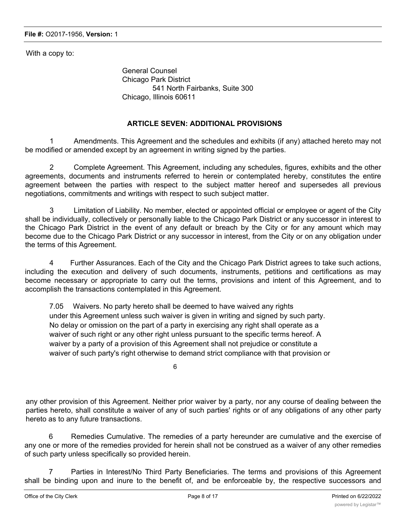With a copy to:

General Counsel Chicago Park District 541 North Fairbanks, Suite 300 Chicago, Illinois 60611

### **ARTICLE SEVEN: ADDITIONAL PROVISIONS**

Amendments. This Agreement and the schedules and exhibits (if any) attached hereto may not be modified or amended except by an agreement in writing signed by the parties.

2 Complete Agreement. This Agreement, including any schedules, figures, exhibits and the other agreements, documents and instruments referred to herein or contemplated hereby, constitutes the entire agreement between the parties with respect to the subject matter hereof and supersedes all previous negotiations, commitments and writings with respect to such subject matter.

3 Limitation of Liability. No member, elected or appointed official or employee or agent of the City shall be individually, collectively or personally liable to the Chicago Park District or any successor in interest to the Chicago Park District in the event of any default or breach by the City or for any amount which may become due to the Chicago Park District or any successor in interest, from the City or on any obligation under the terms of this Agreement.

4 Further Assurances. Each of the City and the Chicago Park District agrees to take such actions, including the execution and delivery of such documents, instruments, petitions and certifications as may become necessary or appropriate to carry out the terms, provisions and intent of this Agreement, and to accomplish the transactions contemplated in this Agreement.

7.05 Waivers. No party hereto shall be deemed to have waived any rights under this Agreement unless such waiver is given in writing and signed by such party. No delay or omission on the part of a party in exercising any right shall operate as a waiver of such right or any other right unless pursuant to the specific terms hereof. A waiver by a party of a provision of this Agreement shall not prejudice or constitute a waiver of such party's right otherwise to demand strict compliance with that provision or

6

any other provision of this Agreement. Neither prior waiver by a party, nor any course of dealing between the parties hereto, shall constitute a waiver of any of such parties' rights or of any obligations of any other party hereto as to any future transactions.

6 Remedies Cumulative. The remedies of a party hereunder are cumulative and the exercise of any one or more of the remedies provided for herein shall not be construed as a waiver of any other remedies of such party unless specifically so provided herein.

7 Parties in Interest/No Third Party Beneficiaries. The terms and provisions of this Agreement shall be binding upon and inure to the benefit of, and be enforceable by, the respective successors and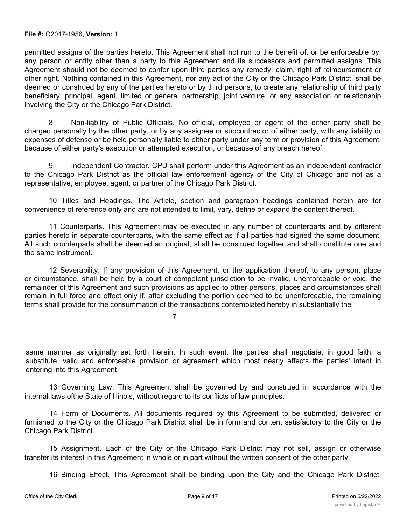#### **File #:** O2017-1956, **Version:** 1

permitted assigns of the parties hereto. This Agreement shall not run to the benefit of, or be enforceable by, any person or entity other than a party to this Agreement and its successors and permitted assigns. This Agreement should not be deemed to confer upon third parties any remedy, claim, right of reimbursement or other right. Nothing contained in this Agreement, nor any act of the City or the Chicago Park District, shall be deemed or construed by any of the parties hereto or by third persons, to create any relationship of third party beneficiary, principal, agent, limited or general partnership, joint venture, or any association or relationship involving the City or the Chicago Park District.

Non-liability of Public Officials. No official, employee or agent of the either party shall be charged personally by the other party, or by any assignee or subcontractor of either party, with any liability or expenses of defense or be held personally liable to either party under any term or provision of this Agreement, because of either party's execution or attempted execution, or because of any breach hereof.

9 Independent Contractor. CPD shall perform under this Agreement as an independent contractor to the Chicago Park District as the official law enforcement agency of the City of Chicago and not as a representative, employee, agent, or partner of the Chicago Park District.

10 Titles and Headings. The Article, section and paragraph headings contained herein are for convenience of reference only and are not intended to limit, vary, define or expand the content thereof.

11 Counterparts. This Agreement may be executed in any number of counterparts and by different parties hereto in separate counterparts, with the same effect as if all parties had signed the same document. All such counterparts shall be deemed an original, shall be construed together and shall constitute one and the same instrument.

12 Severability. If any provision of this Agreement, or the application thereof, to any person, place or circumstance, shall be held by a court of competent jurisdiction to be invalid, unenforceable or void, the remainder of this Agreement and such provisions as applied to other persons, places and circumstances shall remain in full force and effect only if, after excluding the portion deemed to be unenforceable, the remaining terms shall provide for the consummation of the transactions contemplated hereby in substantially the

7

same manner as originally set forth herein. In such event, the parties shall negotiate, in good faith, a substitute, valid and enforceable provision or agreement which most nearly affects the parties' intent in entering into this Agreement.

13 Governing Law. This Agreement shall be governed by and construed in accordance with the internal laws ofthe State of Illinois, without regard to its conflicts of law principles.

14 Form of Documents. All documents required by this Agreement to be submitted, delivered or furnished to the City or the Chicago Park District shall be in form and content satisfactory to the City or the Chicago Park District.

15 Assignment. Each of the City or the Chicago Park District may not sell, assign or otherwise transfer its interest in this Agreement in whole or in part without the written consent of the other party.

16 Binding Effect. This Agreement shall be binding upon the City and the Chicago Park District,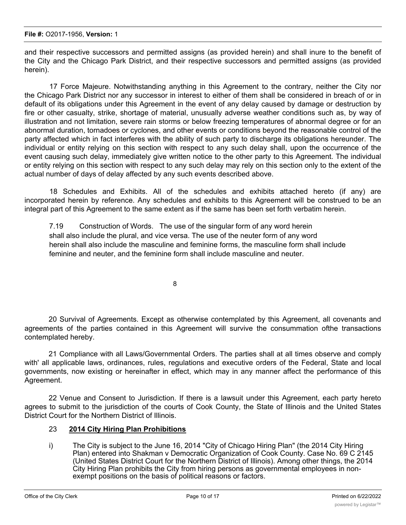and their respective successors and permitted assigns (as provided herein) and shall inure to the benefit of the City and the Chicago Park District, and their respective successors and permitted assigns (as provided herein).

17 Force Majeure. Notwithstanding anything in this Agreement to the contrary, neither the City nor the Chicago Park District nor any successor in interest to either of them shall be considered in breach of or in default of its obligations under this Agreement in the event of any delay caused by damage or destruction by fire or other casualty, strike, shortage of material, unusually adverse weather conditions such as, by way of illustration and not limitation, severe rain storms or below freezing temperatures of abnormal degree or for an abnormal duration, tornadoes or cyclones, and other events or conditions beyond the reasonable control of the party affected which in fact interferes with the ability of such party to discharge its obligations hereunder. The individual or entity relying on this section with respect to any such delay shall, upon the occurrence of the event causing such delay, immediately give written notice to the other party to this Agreement. The individual or entity relying on this section with respect to any such delay may rely on this section only to the extent of the actual number of days of delay affected by any such events described above.

18 Schedules and Exhibits. All of the schedules and exhibits attached hereto (if any) are incorporated herein by reference. Any schedules and exhibits to this Agreement will be construed to be an integral part of this Agreement to the same extent as if the same has been set forth verbatim herein.

7.19 Construction of Words. The use of the singular form of any word herein shall also include the plural, and vice versa. The use of the neuter form of any word herein shall also include the masculine and feminine forms, the masculine form shall include feminine and neuter, and the feminine form shall include masculine and neuter.

8

20 Survival of Agreements. Except as otherwise contemplated by this Agreement, all covenants and agreements of the parties contained in this Agreement will survive the consummation ofthe transactions contemplated hereby.

21 Compliance with all Laws/Governmental Orders. The parties shall at all times observe and comply with' all applicable laws, ordinances, rules, regulations and executive orders of the Federal, State and local governments, now existing or hereinafter in effect, which may in any manner affect the performance of this Agreement.

22 Venue and Consent to Jurisdiction. If there is a lawsuit under this Agreement, each party hereto agrees to submit to the jurisdiction of the courts of Cook County, the State of Illinois and the United States District Court for the Northern District of Illinois.

# 23 **2014 City Hiring Plan Prohibitions**

i) The City is subject to the June 16, 2014 "City of Chicago Hiring Plan" (the 2014 City Hiring Plan) entered into Shakman v Democratic Organization of Cook County. Case No. 69 C 2145 (United States District Court for the Northern District of Illinois). Among other things, the 2014 City Hiring Plan prohibits the City from hiring persons as governmental employees in nonexempt positions on the basis of political reasons or factors.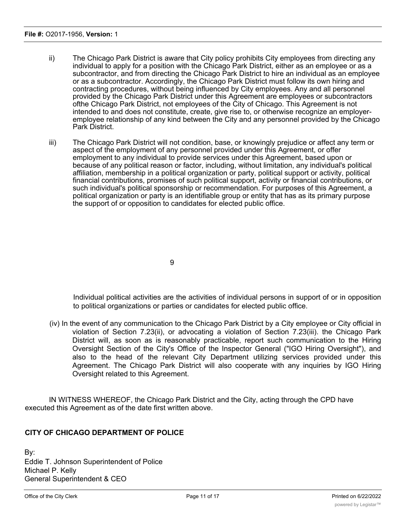- ii) The Chicago Park District is aware that City policy prohibits City employees from directing any individual to apply for a position with the Chicago Park District, either as an employee or as a subcontractor, and from directing the Chicago Park District to hire an individual as an employee or as a subcontractor. Accordingly, the Chicago Park District must follow its own hiring and contracting procedures, without being influenced by City employees. Any and all personnel provided by the Chicago Park District under this Agreement are employees or subcontractors ofthe Chicago Park District, not employees of the City of Chicago. This Agreement is not intended to and does not constitute, create, give rise to, or otherwise recognize an employeremployee relationship of any kind between the City and any personnel provided by the Chicago Park District.
- iii) The Chicago Park District will not condition, base, or knowingly prejudice or affect any term or aspect of the employment of any personnel provided under this Agreement, or offer employment to any individual to provide services under this Agreement, based upon or because of any political reason or factor, including, without limitation, any individual's political affiliation, membership in a political organization or party, political support or activity, political financial contributions, promises of such political support, activity or financial contributions, or such individual's political sponsorship or recommendation. For purposes of this Agreement, a political organization or party is an identifiable group or entity that has as its primary purpose the support of or opposition to candidates for elected public office.

9

Individual political activities are the activities of individual persons in support of or in opposition to political organizations or parties or candidates for elected public office.

(iv) In the event of any communication to the Chicago Park District by a City employee or City official in violation of Section 7.23(ii), or advocating a violation of Section 7.23(iii). the Chicago Park District will, as soon as is reasonably practicable, report such communication to the Hiring Oversight Section of the City's Office of the Inspector General ("IGO Hiring Oversight"), and also to the head of the relevant City Department utilizing services provided under this Agreement. The Chicago Park District will also cooperate with any inquiries by IGO Hiring Oversight related to this Agreement.

IN WITNESS WHEREOF, the Chicago Park District and the City, acting through the CPD have executed this Agreement as of the date first written above.

# **CITY OF CHICAGO DEPARTMENT OF POLICE**

By: Eddie T. Johnson Superintendent of Police Michael P. Kelly General Superintendent & CEO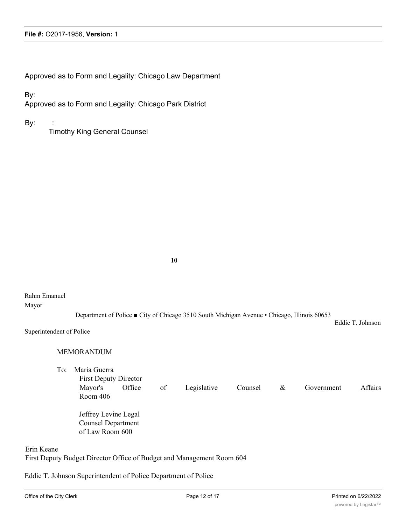#### **File #:** O2017-1956, **Version:** 1

Approved as to Form and Legality: Chicago Law Department

By:

Approved as to Form and Legality: Chicago Park District

By:

Timothy King General Counsel

**10**

Rahm Emanuel Mayor

Department of Police ■ City of Chicago 3510 South Michigan Avenue • Chicago, Illinois 60653

Superintendent of Police

| MEMORANDUM |  |
|------------|--|
|            |  |

To: Maria Guerra First Deputy Director Mayor's Office of Legislative Counsel & Government Affairs Room 406

Jeffrey Levine Legal Counsel Department of Law Room 600

Erin Keane

First Deputy Budget Director Office of Budget and Management Room 604

Eddie T. Johnson Superintendent of Police Department of Police

Eddie T. Johnson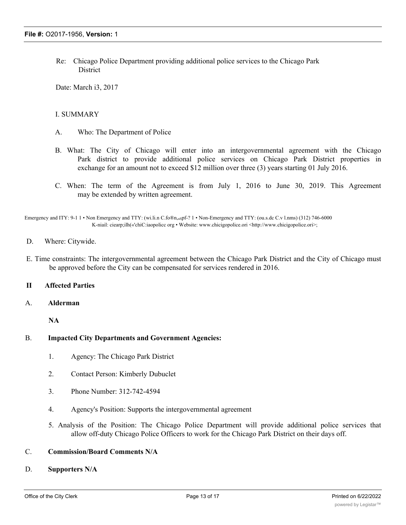Re: Chicago Police Department providing additional police services to the Chicago Park District

Date: March i3, 2017

#### I. SUMMARY

- A. Who: The Department of Police
- B. What: The City of Chicago will enter into an intergovernmental agreement with the Chicago Park district to provide additional police services on Chicago Park District properties in exchange for an amount not to exceed \$12 million over three (3) years starting 01 July 2016.
- C. When: The term of the Agreement is from July 1, 2016 to June 30, 2019. This Agreement may be extended by written agreement.

Emergency and ITY: 9-1 1 • Non Emergency and TTY: (wi.li.n C.fo®n,<sub>nS</sub>pf-? 1 • Non-Emergency and TTY: (ou.s.dc C.v l.nms) (312) 746-6000 K-niail: ciearp;ilh(«'chiC:iaopolicc org • Website: www.chicigopolice.ori <http://www.chicigopolice.ori>;

- D. Where: Citywide.
- E. Time constraints: The intergovernmental agreement between the Chicago Park District and the City of Chicago must be approved before the City can be compensated for services rendered in 2016.

#### **II Affected Parties**

#### A. **Alderman**

**NA**

- B. **Impacted City Departments and Government Agencies:**
	- 1. Agency: The Chicago Park District
	- 2. Contact Person: Kimberly Dubuclet
	- 3. Phone Number: 312-742-4594
	- 4. Agency's Position: Supports the intergovernmental agreement
	- 5. Analysis of the Position: The Chicago Police Department will provide additional police services that allow off-duty Chicago Police Officers to work for the Chicago Park District on their days off.

#### C. **Commission/Board Comments N/A**

#### D. **Supporters N/A**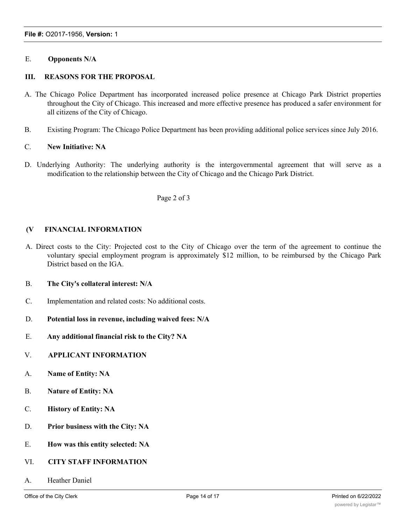#### E. **Opponents N/A**

# **III. REASONS FOR THE PROPOSAL**

- A. The Chicago Police Department has incorporated increased police presence at Chicago Park District properties throughout the City of Chicago. This increased and more effective presence has produced a safer environment for all citizens of the City of Chicago.
- B. Existing Program: The Chicago Police Department has been providing additional police services since July 2016.

#### C. **New Initiative: NA**

D. Underlying Authority: The underlying authority is the intergovernmental agreement that will serve as a modification to the relationship between the City of Chicago and the Chicago Park District.

#### Page 2 of 3

#### **(V FINANCIAL INFORMATION**

A. Direct costs to the City: Projected cost to the City of Chicago over the term of the agreement to continue the voluntary special employment program is approximately \$12 million, to be reimbursed by the Chicago Park District based on the IGA.

#### B. **The City's collateral interest: N/A**

- C. Implementation and related costs: No additional costs.
- D. **Potential loss in revenue, including waived fees: N/A**
- E. **Any additional financial risk to the City? NA**
- V. **APPLICANT INFORMATION**
- A. **Name of Entity: NA**
- B. **Nature of Entity: NA**
- C. **History of Entity: NA**
- D. **Prior business with the City: NA**
- E. **How was this entity selected: NA**

#### VI. **CITY STAFF INFORMATION**

A. Heather Daniel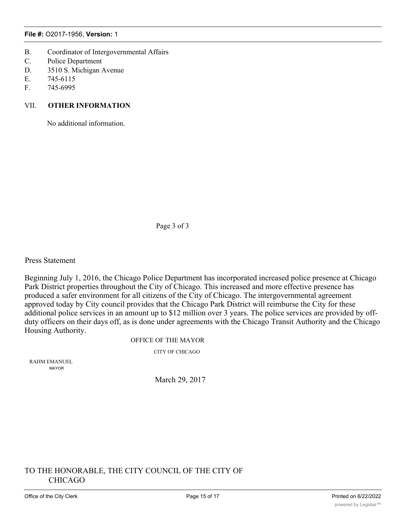#### **File #:** O2017-1956, **Version:** 1

- B. Coordinator of Intergovernmental Affairs
- C. Police Department
- D. 3510 S. Michigan Avenue
- E. 745-6115
- F. 745-6995

# VII. **OTHER INFORMATION**

No additional information.

Page 3 of 3

Press Statement

Beginning July 1, 2016, the Chicago Police Department has incorporated increased police presence at Chicago Park District properties throughout the City of Chicago. This increased and more effective presence has produced a safer environment for all citizens of the City of Chicago. The intergovernmental agreement approved today by City council provides that the Chicago Park District will reimburse the City for these additional police services in an amount up to \$12 million over 3 years. The police services are provided by offduty officers on their days off, as is done under agreements with the Chicago Transit Authority and the Chicago Housing Authority.

OFFICE OF THE MAYOR

CITY OF CHICAGO

RAHM EMANUEL MAYOR

March 29, 2017

# TO THE HONORABLE, THE CITY COUNCIL OF THE CITY OF CHICAGO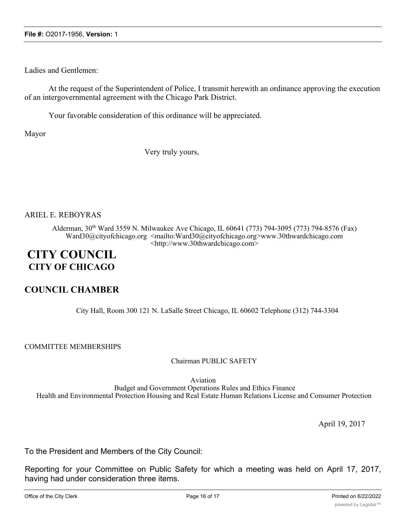Ladies and Gentlemen:

At the request of the Superintendent of Police, I transmit herewith an ordinance approving the execution of an intergovernmental agreement with the Chicago Park District.

Your favorable consideration of this ordinance will be appreciated.

Mayor

Very truly yours,

#### ARIEL E. REBOYRAS

Alderman, 30<sup>th</sup> Ward 3559 N. Milwaukee Ave Chicago, IL 60641 (773) 794-3095 (773) 794-8576 (Fax) Ward30@cityofchicago.org <mailto:Ward30@cityofchicago.org>www.30thwardchicago.com <http://www.30thwardchicago.com>

# **CITY COUNCIL CITY OF CHICAGO**

# **COUNCIL CHAMBER**

City Hall, Room 300 121 N. LaSalle Street Chicago, IL 60602 Telephone (312) 744-3304

COMMITTEE MEMBERSHIPS

Chairman PUBLIC SAFETY

Aviation Budget and Government Operations Rules and Ethics Finance Health and Environmental Protection Housing and Real Estate Human Relations License and Consumer Protection

April 19, 2017

To the President and Members of the City Council:

Reporting for your Committee on Public Safety for which a meeting was held on April 17, 2017, having had under consideration three items.